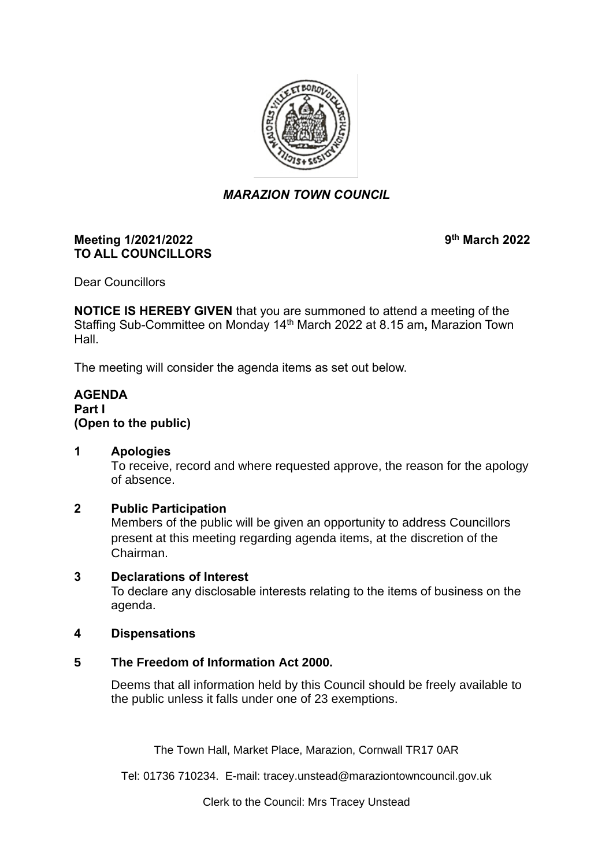

# *MARAZION TOWN COUNCIL*

# **Meeting 1/2021/2022 9 TO ALL COUNCILLORS**

**th March 2022**

Dear Councillors

**NOTICE IS HEREBY GIVEN** that you are summoned to attend a meeting of the Staffing Sub-Committee on Monday 14th March 2022 at 8.15 am**,** Marazion Town Hall.

The meeting will consider the agenda items as set out below.

### **AGENDA Part I (Open to the public)**

# **1 Apologies**

To receive, record and where requested approve, the reason for the apology of absence.

# **2 Public Participation**

Members of the public will be given an opportunity to address Councillors present at this meeting regarding agenda items, at the discretion of the Chairman.

#### **3 Declarations of Interest**

To declare any disclosable interests relating to the items of business on the agenda.

#### **4 Dispensations**

# **5 The Freedom of Information Act 2000.**

Deems that all information held by this Council should be freely available to the public unless it falls under one of 23 exemptions.

The Town Hall, Market Place, Marazion, Cornwall TR17 0AR

Tel: 01736 710234. E-mail: tracey.unstead@maraziontowncouncil.gov.uk

Clerk to the Council: Mrs Tracey Unstead